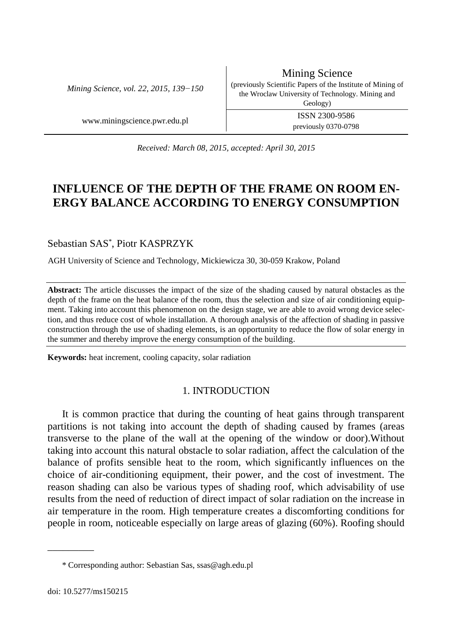*Mining Science, vol. 22, 2015, 139−150*

Mining Science (previously Scientific Papers of the Institute of Mining of the Wroclaw University of Technology. Mining and Geology) www.miningscience.pwr.edu.pl ISSN 2300-9586 previously 0370-0798

*Received: March 08, 2015, accepted: April 30, 2015*

# **INFLUENCE OF THE DEPTH OF THE FRAME ON ROOM EN-ERGY BALANCE ACCORDING TO ENERGY CONSUMPTION**

Sebastian SAS\* , Piotr KASPRZYK

AGH University of Science and Technology, Mickiewicza 30, 30-059 Krakow, Poland

**Abstract:** The article discusses the impact of the size of the shading caused by natural obstacles as the depth of the frame on the heat balance of the room, thus the selection and size of air conditioning equipment. Taking into account this phenomenon on the design stage, we are able to avoid wrong device selection, and thus reduce cost of whole installation. A thorough analysis of the affection of shading in passive construction through the use of shading elements, is an opportunity to reduce the flow of solar energy in the summer and thereby improve the energy consumption of the building.

**Keywords:** heat increment, cooling capacity, solar radiation

# 1. INTRODUCTION

It is common practice that during the counting of heat gains through transparent partitions is not taking into account the depth of shading caused by frames (areas transverse to the plane of the wall at the opening of the window or door).Without taking into account this natural obstacle to solar radiation, affect the calculation of the balance of profits sensible heat to the room, which significantly influences on the choice of air-conditioning equipment, their power, and the cost of investment. The reason shading can also be various types of shading roof, which advisability of use results from the need of reduction of direct impact of solar radiation on the increase in air temperature in the room. High temperature creates a discomforting conditions for people in room, noticeable especially on large areas of glazing (60%). Roofing should

\_\_\_\_\_\_\_\_\_

<sup>\*</sup> Corresponding author: Sebastian Sas, ssas@agh.edu.pl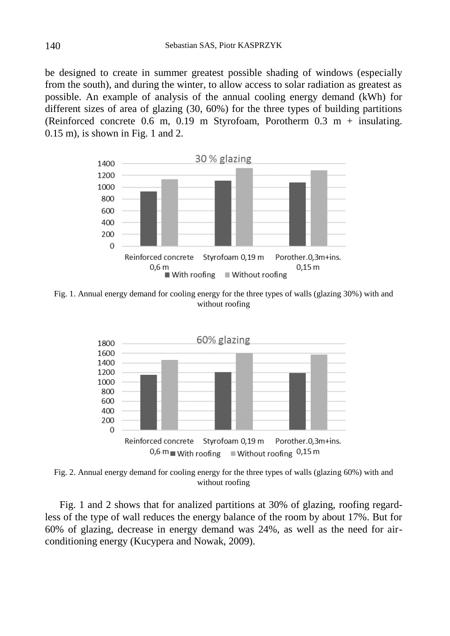be designed to create in summer greatest possible shading of windows (especially from the south), and during the winter, to allow access to solar radiation as greatest as possible. An example of analysis of the annual cooling energy demand (kWh) for different sizes of area of glazing (30, 60%) for the three types of building partitions (Reinforced concrete 0.6 m, 0.19 m Styrofoam, Porotherm 0.3 m + insulating. 0.15 m), is shown in Fig. 1 and 2.



Fig. 1. Annual energy demand for cooling energy for the three types of walls (glazing 30%) with and without roofing



Fig. 2. Annual energy demand for cooling energy for the three types of walls (glazing 60%) with and without roofing

Fig. 1 and 2 shows that for analized partitions at 30% of glazing, roofing regardless of the type of wall reduces the energy balance of the room by about 17%. But for 60% of glazing, decrease in energy demand was 24%, as well as the need for airconditioning energy (Kucypera and Nowak, 2009).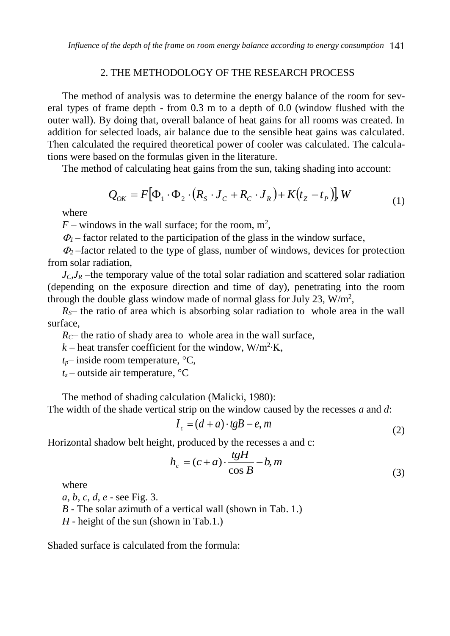# 2. THE METHODOLOGY OF THE RESEARCH PROCESS

The method of analysis was to determine the energy balance of the room for several types of frame depth - from 0.3 m to a depth of 0.0 (window flushed with the outer wall). By doing that, overall balance of heat gains for all rooms was created. In addition for selected loads, air balance due to the sensible heat gains was calculated. Then calculated the required theoretical power of cooler was calculated. The calculations were based on the formulas given in the literature.

The method of calculating heat gains from the sun, taking shading into account:

$$
Q_{OK} = F[\Phi_1 \cdot \Phi_2 \cdot (R_S \cdot J_C + R_C \cdot J_R) + K(t_Z - t_P)], W
$$
\n(1)

where

 $F$  – windows in the wall surface; for the room,  $m^2$ ,

 $\Phi_1$  – factor related to the participation of the glass in the window surface,

 $\Phi$  –factor related to the type of glass, number of windows, devices for protection from solar radiation,

 $J_C$ *J<sub>R</sub>* –the temporary value of the total solar radiation and scattered solar radiation (depending on the exposure direction and time of day), penetrating into the room through the double glass window made of normal glass for July 23,  $W/m^2$ ,

*RS*– the ratio of area which is absorbing solar radiation to whole area in the wall surface,

 $R_C$ – the ratio of shady area to whole area in the wall surface,

 $k$  – heat transfer coefficient for the window, W/m<sup>2</sup>·K,

 $t_p$ – inside room temperature,  $\mathrm{C}$ ,

 $t_z$  – outside air temperature,  $\mathrm{C}$ 

The method of shading calculation (Malicki, 1980):

The width of the shade vertical strip on the window caused by the recesses *a* and *d*:

$$
I_c = (d+a) \cdot t \cdot gB - e, m \tag{2}
$$

Horizontal shadow belt height, produced by the recesses a and c:

$$
h_c = (c+a) \cdot \frac{tgH}{\cos B} - b, m
$$
\n(3)

where

*a, b, c, d, e* - see Fig. 3.

*B* - The solar azimuth of a vertical wall (shown in Tab. 1.)

*H* - height of the sun (shown in Tab.1.)

Shaded surface is calculated from the formula: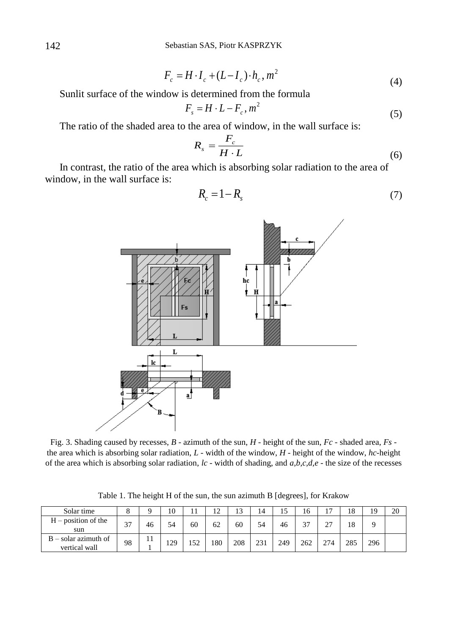$$
F_c = H \cdot I_c + (L - I_c) \cdot h_c, m^2 \tag{4}
$$

Sunlit surface of the window is determined from the formula

$$
F_s = H \cdot L - F_c, m^2 \tag{5}
$$

The ratio of the shaded area to the area of window, in the wall surface is:

$$
R_s = \frac{F_c}{H \cdot L} \tag{6}
$$

In contrast, the ratio of the area which is absorbing solar radiation to the area of window, in the wall surface is:

$$
R_c = 1 - R_s \tag{7}
$$



Fig. 3. Shading caused by recesses, *B* - azimuth of the sun, *H* - height of the sun, *Fc* - shaded area, *Fs* the area which is absorbing solar radiation, *L* - width of the window, *H* - height of the window, *hc*-height of the area which is absorbing solar radiation, *lc* - width of shading, and *a,b,c,d,e* - the size of the recesses

Table 1. The height H of the sun, the sun azimuth B [degrees], for Krakow

| Solar time                              |             |    | 10  |     | 12  | 1 <sub>2</sub><br>IJ | 14  | 15  | 16            | $\overline{\phantom{0}}$ | 18  | 19  | 20 |
|-----------------------------------------|-------------|----|-----|-----|-----|----------------------|-----|-----|---------------|--------------------------|-----|-----|----|
| $H$ – position of the<br>sun            | $\sim$<br>ັ | 46 | 54  | 60  | 62  | 60                   | 54  | 46  | $\sim$<br>، د | $\sim$<br>∼              | 18  |     |    |
| $B - solar$ azimuth of<br>vertical wall | 98          |    | 129 | 152 | 180 | 208                  | 231 | 249 | 262           | 274                      | 285 | 296 |    |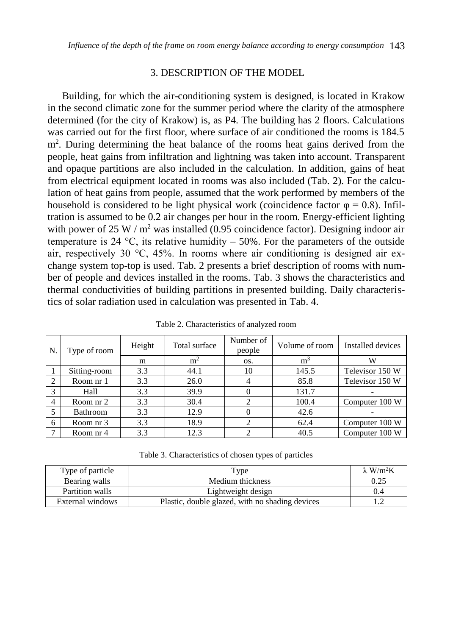# 3. DESCRIPTION OF THE MODEL

Building, for which the air-conditioning system is designed, is located in Krakow in the second climatic zone for the summer period where the clarity of the atmosphere determined (for the city of Krakow) is, as P4. The building has 2 floors. Calculations was carried out for the first floor, where surface of air conditioned the rooms is 184.5 m<sup>2</sup>. During determining the heat balance of the rooms heat gains derived from the people, heat gains from infiltration and lightning was taken into account. Transparent and opaque partitions are also included in the calculation. In addition, gains of heat from electrical equipment located in rooms was also included (Tab. 2). For the calculation of heat gains from people, assumed that the work performed by members of the household is considered to be light physical work (coincidence factor  $\varphi = 0.8$ ). Infiltration is assumed to be 0.2 air changes per hour in the room. Energy-efficient lighting with power of 25 W /  $m^2$  was installed (0.95 coincidence factor). Designing indoor air temperature is 24  $\degree$ C, its relative humidity – 50%. For the parameters of the outside air, respectively 30  $\degree$ C, 45%. In rooms where air conditioning is designed air exchange system top-top is used. Tab. 2 presents a brief description of rooms with number of people and devices installed in the rooms. Tab. 3 shows the characteristics and thermal conductivities of building partitions in presented building. Daily characteristics of solar radiation used in calculation was presented in Tab. 4.

| N.             | Type of room | Height | Total surface  | Number of<br>people | Volume of room | Installed devices |  |  |
|----------------|--------------|--------|----------------|---------------------|----------------|-------------------|--|--|
|                |              | m      | m <sup>2</sup> | OS.                 | m <sup>3</sup> | w                 |  |  |
|                | Sitting-room | 3.3    | 44.1           | 10                  | 145.5          | Televisor 150 W   |  |  |
| 2              | Room nr 1    | 3.3    | 26.0           | $\overline{4}$      | 85.8           | Televisor 150 W   |  |  |
| 3              | Hall         | 3.3    | 39.9           |                     | 131.7          |                   |  |  |
| $\overline{4}$ | Room nr 2    | 3.3    | 30.4           |                     | 100.4          | Computer 100 W    |  |  |
| 5              | Bathroom     | 3.3    | 12.9           |                     | 42.6           |                   |  |  |
| 6              | Room nr 3    | 3.3    | 18.9           | 2                   | 62.4           | Computer 100 W    |  |  |
|                | Room nr 4    | 3.3    | 12.3           |                     | 40.5           | Computer 100 W    |  |  |

Table 2. Characteristics of analyzed room

Table 3. Characteristics of chosen types of particles

| Type of particle | Type                                            | $\lambda$ W/m <sup>2</sup> K |
|------------------|-------------------------------------------------|------------------------------|
| Bearing walls    | Medium thickness                                | 0.25                         |
| Partition walls  | Lightweight design                              |                              |
| External windows | Plastic, double glazed, with no shading devices |                              |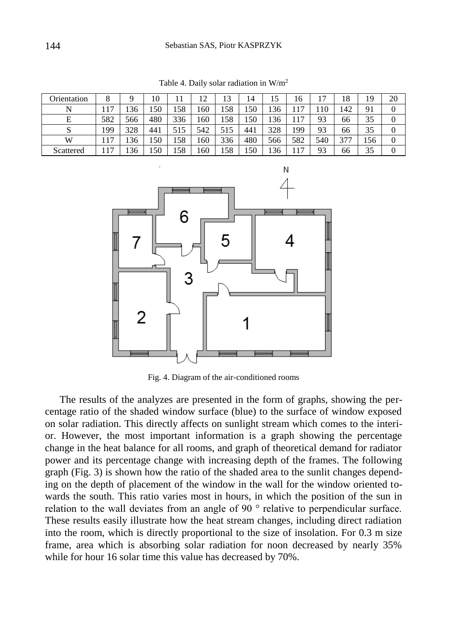| Orientation |     |     | 10  |     | 12  | 13  | 14  | 15  | 16  | Ξ   | 18  | 19  | 20 |
|-------------|-----|-----|-----|-----|-----|-----|-----|-----|-----|-----|-----|-----|----|
| N           | .17 | 136 | 150 | 158 | 160 | 158 | 150 | 136 | 117 | 110 | 142 | 91  |    |
| Е           | 582 | 566 | 480 | 336 | 160 | 158 | .50 | 136 | 117 | 93  | 66  | 35  |    |
|             | 199 | 328 | 441 | 515 | 542 | 515 | 441 | 328 | 199 | 93  | 66  | 35  |    |
| W           | 117 | 136 | 150 | 158 | 160 | 336 | 480 | 566 | 582 | 540 | 377 | 156 |    |
| Scattered   | .17 | 136 | 150 | 158 | 160 | 158 | .50 | 136 | 17  | 93  | 66  | 35  |    |

Table 4. Daily solar radiation in W/m<sup>2</sup>



Fig. 4. Diagram of the air-conditioned rooms

The results of the analyzes are presented in the form of graphs, showing the percentage ratio of the shaded window surface (blue) to the surface of window exposed on solar radiation. This directly affects on sunlight stream which comes to the interior. However, the most important information is a graph showing the percentage change in the heat balance for all rooms, and graph of theoretical demand for radiator power and its percentage change with increasing depth of the frames. The following graph (Fig. 3) is shown how the ratio of the shaded area to the sunlit changes depending on the depth of placement of the window in the wall for the window oriented towards the south. This ratio varies most in hours, in which the position of the sun in relation to the wall deviates from an angle of 90 ° relative to perpendicular surface. These results easily illustrate how the heat stream changes, including direct radiation into the room, which is directly proportional to the size of insolation. For 0.3 m size frame, area which is absorbing solar radiation for noon decreased by nearly 35% while for hour 16 solar time this value has decreased by 70%.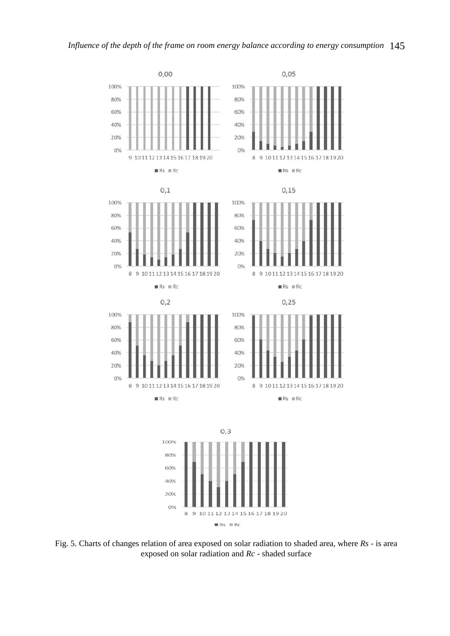



Fig. 5. Charts of changes relation of area exposed on solar radiation to shaded area, where *Rs* - is area exposed on solar radiation and *Rc* - shaded surface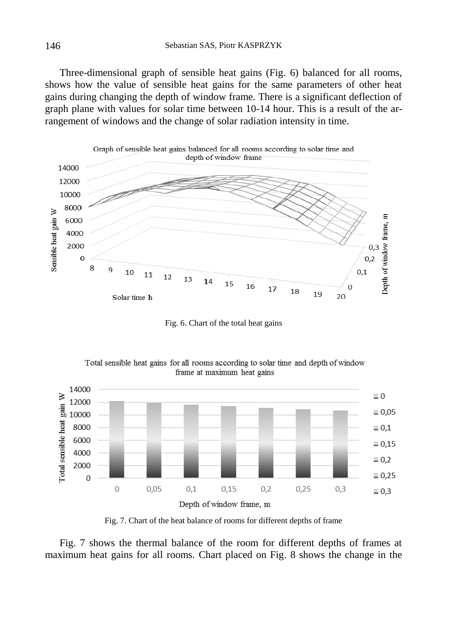Three-dimensional graph of sensible heat gains (Fig. 6) balanced for all rooms, shows how the value of sensible heat gains for the same parameters of other heat gains during changing the depth of window frame. There is a significant deflection of graph plane with values for solar time between 10-14 hour. This is a result of the arrangement of windows and the change of solar radiation intensity in time.



Fig. 6. Chart of the total heat gains





Fig. 7. Chart of the heat balance of rooms for different depths of frame

Fig. 7 shows the thermal balance of the room for different depths of frames at maximum heat gains for all rooms. Chart placed on Fig. 8 shows the change in the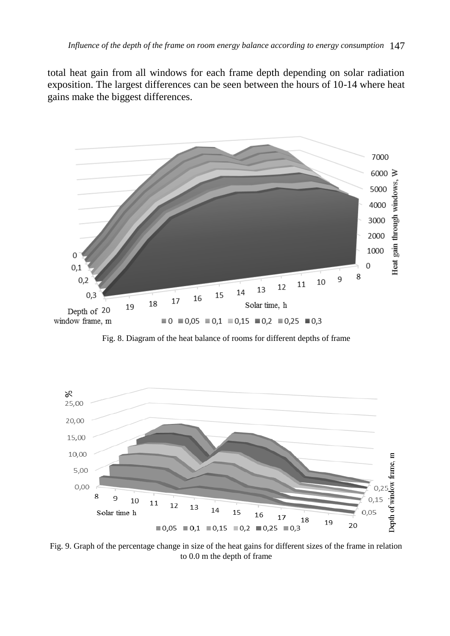total heat gain from all windows for each frame depth depending on solar radiation exposition. The largest differences can be seen between the hours of 10-14 where heat gains make the biggest differences.



Fig. 8. Diagram of the heat balance of rooms for different depths of frame



Fig. 9. Graph of the percentage change in size of the heat gains for different sizes of the frame in relation to 0.0 m the depth of frame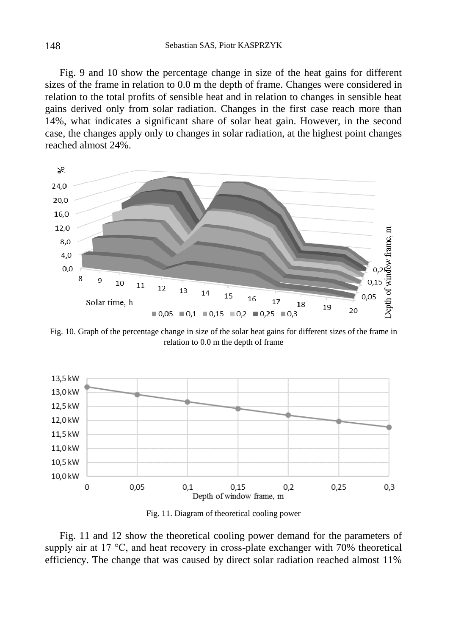Fig. 9 and 10 show the percentage change in size of the heat gains for different sizes of the frame in relation to 0.0 m the depth of frame. Changes were considered in relation to the total profits of sensible heat and in relation to changes in sensible heat gains derived only from solar radiation. Changes in the first case reach more than 14%, what indicates a significant share of solar heat gain. However, in the second case, the changes apply only to changes in solar radiation, at the highest point changes reached almost 24%.



Fig. 10. Graph of the percentage change in size of the solar heat gains for different sizes of the frame in relation to 0.0 m the depth of frame



Fig. 11. Diagram of theoretical cooling power

Fig. 11 and 12 show the theoretical cooling power demand for the parameters of supply air at 17 °C, and heat recovery in cross-plate exchanger with 70% theoretical efficiency. The change that was caused by direct solar radiation reached almost 11%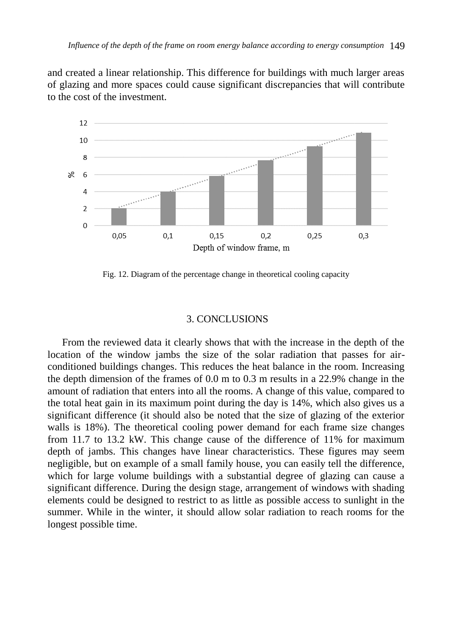and created a linear relationship. This difference for buildings with much larger areas of glazing and more spaces could cause significant discrepancies that will contribute to the cost of the investment.



Fig. 12. Diagram of the percentage change in theoretical cooling capacity

### 3. CONCLUSIONS

From the reviewed data it clearly shows that with the increase in the depth of the location of the window jambs the size of the solar radiation that passes for airconditioned buildings changes. This reduces the heat balance in the room. Increasing the depth dimension of the frames of 0.0 m to 0.3 m results in a 22.9% change in the amount of radiation that enters into all the rooms. A change of this value, compared to the total heat gain in its maximum point during the day is 14%, which also gives us a significant difference (it should also be noted that the size of glazing of the exterior walls is 18%). The theoretical cooling power demand for each frame size changes from 11.7 to 13.2 kW. This change cause of the difference of 11% for maximum depth of jambs. This changes have linear characteristics. These figures may seem negligible, but on example of a small family house, you can easily tell the difference, which for large volume buildings with a substantial degree of glazing can cause a significant difference. During the design stage, arrangement of windows with shading elements could be designed to restrict to as little as possible access to sunlight in the summer. While in the winter, it should allow solar radiation to reach rooms for the longest possible time.